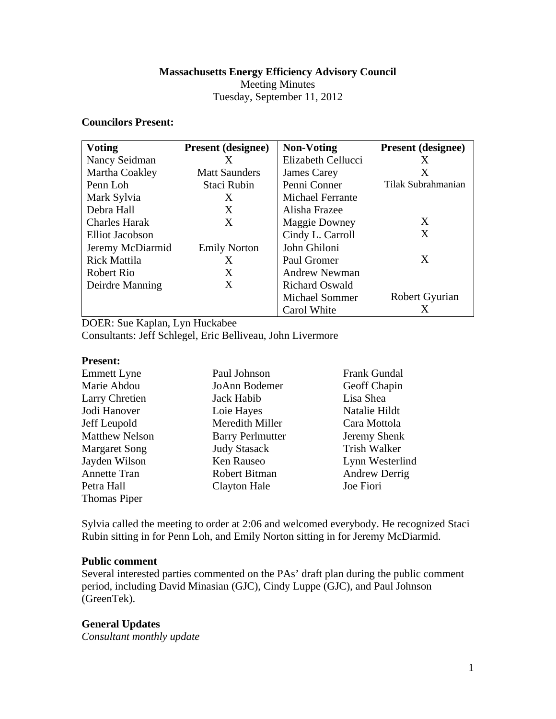# **Massachusetts Energy Efficiency Advisory Council**

Meeting Minutes

# Tuesday, September 11, 2012

# **Councilors Present:**

| <b>Voting</b>        | <b>Present</b> (designee) | <b>Non-Voting</b>       | <b>Present</b> (designee) |
|----------------------|---------------------------|-------------------------|---------------------------|
| Nancy Seidman        | X                         | Elizabeth Cellucci      | X                         |
| Martha Coakley       | <b>Matt Saunders</b>      | James Carey             | X                         |
| Penn Loh             | Staci Rubin               | Penni Conner            | Tilak Subrahmanian        |
| Mark Sylvia          | X                         | <b>Michael Ferrante</b> |                           |
| Debra Hall           | X                         | Alisha Frazee           |                           |
| <b>Charles Harak</b> | X                         | <b>Maggie Downey</b>    | X                         |
| Elliot Jacobson      |                           | Cindy L. Carroll        | X                         |
| Jeremy McDiarmid     | <b>Emily Norton</b>       | John Ghiloni            |                           |
| <b>Rick Mattila</b>  | X                         | Paul Gromer             | X                         |
| Robert Rio           | X                         | <b>Andrew Newman</b>    |                           |
| Deirdre Manning      | X                         | <b>Richard Oswald</b>   |                           |
|                      |                           | <b>Michael Sommer</b>   | Robert Gyurian            |
|                      |                           | Carol White             | X                         |

DOER: Sue Kaplan, Lyn Huckabee Consultants: Jeff Schlegel, Eric Belliveau, John Livermore

#### **Present:**

| <b>Emmett Lyne</b>    | Paul Johnson            | <b>Frank Gundal</b>  |
|-----------------------|-------------------------|----------------------|
| Marie Abdou           | JoAnn Bodemer           | Geoff Chapin         |
| Larry Chretien        | Jack Habib              | Lisa Shea            |
| Jodi Hanover          | Loie Hayes              | Natalie Hildt        |
| Jeff Leupold          | Meredith Miller         | Cara Mottola         |
| <b>Matthew Nelson</b> | <b>Barry Perlmutter</b> | Jeremy Shenk         |
| <b>Margaret Song</b>  | <b>Judy Stasack</b>     | Trish Walker         |
| Jayden Wilson         | Ken Rauseo              | Lynn Westerlind      |
| <b>Annette Tran</b>   | Robert Bitman           | <b>Andrew Derrig</b> |
| Petra Hall            | <b>Clayton Hale</b>     | Joe Fiori            |
| Thomas Piper          |                         |                      |

Sylvia called the meeting to order at 2:06 and welcomed everybody. He recognized Staci Rubin sitting in for Penn Loh, and Emily Norton sitting in for Jeremy McDiarmid.

# **Public comment**

Several interested parties commented on the PAs' draft plan during the public comment period, including David Minasian (GJC), Cindy Luppe (GJC), and Paul Johnson (GreenTek).

# **General Updates**

*Consultant monthly update*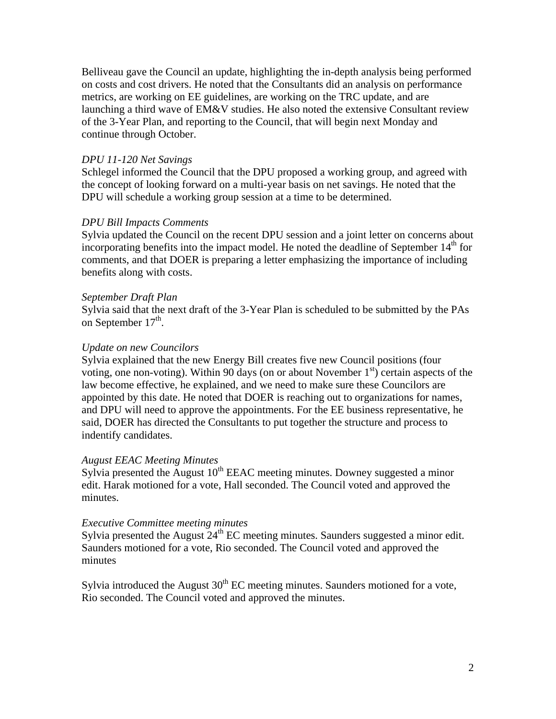Belliveau gave the Council an update, highlighting the in-depth analysis being performed on costs and cost drivers. He noted that the Consultants did an analysis on performance metrics, are working on EE guidelines, are working on the TRC update, and are launching a third wave of EM&V studies. He also noted the extensive Consultant review of the 3-Year Plan, and reporting to the Council, that will begin next Monday and continue through October.

#### *DPU 11-120 Net Savings*

Schlegel informed the Council that the DPU proposed a working group, and agreed with the concept of looking forward on a multi-year basis on net savings. He noted that the DPU will schedule a working group session at a time to be determined.

#### *DPU Bill Impacts Comments*

Sylvia updated the Council on the recent DPU session and a joint letter on concerns about incorporating benefits into the impact model. He noted the deadline of September  $14<sup>th</sup>$  for comments, and that DOER is preparing a letter emphasizing the importance of including benefits along with costs.

#### *September Draft Plan*

Sylvia said that the next draft of the 3-Year Plan is scheduled to be submitted by the PAs on September  $17<sup>th</sup>$ .

#### *Update on new Councilors*

Sylvia explained that the new Energy Bill creates five new Council positions (four voting, one non-voting). Within 90 days (on or about November  $1<sup>st</sup>$ ) certain aspects of the law become effective, he explained, and we need to make sure these Councilors are appointed by this date. He noted that DOER is reaching out to organizations for names, and DPU will need to approve the appointments. For the EE business representative, he said, DOER has directed the Consultants to put together the structure and process to indentify candidates.

#### *August EEAC Meeting Minutes*

Sylvia presented the August  $10^{th}$  EEAC meeting minutes. Downey suggested a minor edit. Harak motioned for a vote, Hall seconded. The Council voted and approved the minutes.

# *Executive Committee meeting minutes*

Sylvia presented the August  $24<sup>th</sup>$  EC meeting minutes. Saunders suggested a minor edit. Saunders motioned for a vote, Rio seconded. The Council voted and approved the minutes

Sylvia introduced the August  $30<sup>th</sup>$  EC meeting minutes. Saunders motioned for a vote, Rio seconded. The Council voted and approved the minutes.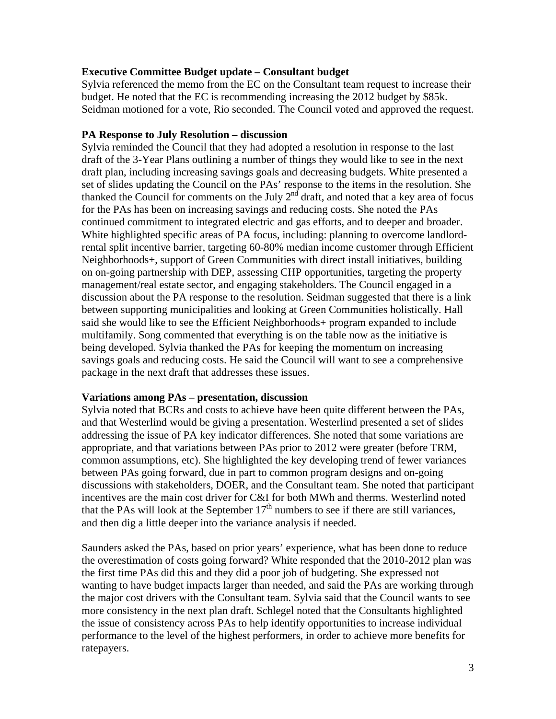# **Executive Committee Budget update – Consultant budget**

Sylvia referenced the memo from the EC on the Consultant team request to increase their budget. He noted that the EC is recommending increasing the 2012 budget by \$85k. Seidman motioned for a vote, Rio seconded. The Council voted and approved the request.

# **PA Response to July Resolution – discussion**

Sylvia reminded the Council that they had adopted a resolution in response to the last draft of the 3-Year Plans outlining a number of things they would like to see in the next draft plan, including increasing savings goals and decreasing budgets. White presented a set of slides updating the Council on the PAs' response to the items in the resolution. She thanked the Council for comments on the July  $2<sup>nd</sup>$  draft, and noted that a key area of focus for the PAs has been on increasing savings and reducing costs. She noted the PAs continued commitment to integrated electric and gas efforts, and to deeper and broader. White highlighted specific areas of PA focus, including: planning to overcome landlordrental split incentive barrier, targeting 60-80% median income customer through Efficient Neighborhoods+, support of Green Communities with direct install initiatives, building on on-going partnership with DEP, assessing CHP opportunities, targeting the property management/real estate sector, and engaging stakeholders. The Council engaged in a discussion about the PA response to the resolution. Seidman suggested that there is a link between supporting municipalities and looking at Green Communities holistically. Hall said she would like to see the Efficient Neighborhoods+ program expanded to include multifamily. Song commented that everything is on the table now as the initiative is being developed. Sylvia thanked the PAs for keeping the momentum on increasing savings goals and reducing costs. He said the Council will want to see a comprehensive package in the next draft that addresses these issues.

# **Variations among PAs – presentation, discussion**

Sylvia noted that BCRs and costs to achieve have been quite different between the PAs, and that Westerlind would be giving a presentation. Westerlind presented a set of slides addressing the issue of PA key indicator differences. She noted that some variations are appropriate, and that variations between PAs prior to 2012 were greater (before TRM, common assumptions, etc). She highlighted the key developing trend of fewer variances between PAs going forward, due in part to common program designs and on-going discussions with stakeholders, DOER, and the Consultant team. She noted that participant incentives are the main cost driver for C&I for both MWh and therms. Westerlind noted that the PAs will look at the September  $17<sup>th</sup>$  numbers to see if there are still variances, and then dig a little deeper into the variance analysis if needed.

Saunders asked the PAs, based on prior years' experience, what has been done to reduce the overestimation of costs going forward? White responded that the 2010-2012 plan was the first time PAs did this and they did a poor job of budgeting. She expressed not wanting to have budget impacts larger than needed, and said the PAs are working through the major cost drivers with the Consultant team. Sylvia said that the Council wants to see more consistency in the next plan draft. Schlegel noted that the Consultants highlighted the issue of consistency across PAs to help identify opportunities to increase individual performance to the level of the highest performers, in order to achieve more benefits for ratepayers.